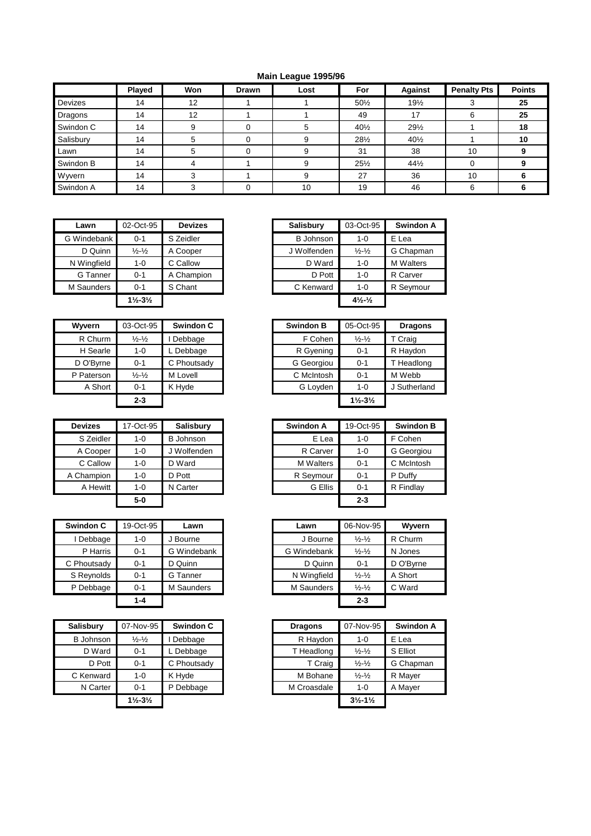## **Main League 1995/96**

|           | Played | Won | <b>Drawn</b> | Lost | For             | <b>Against</b>  | <b>Penalty Pts</b> | <b>Points</b> |
|-----------|--------|-----|--------------|------|-----------------|-----------------|--------------------|---------------|
| Devizes   | 14     | 12  |              |      | 501/2           | 191/2           |                    | 25            |
| Dragons   | 14     | 12  |              |      | 49              | 17              |                    | 25            |
| Swindon C | 14     |     |              |      | $40\frac{1}{2}$ | 291/2           |                    | 18            |
| Salisbury | 14     |     |              |      | 281/2           | 401/2           |                    | 10            |
| Lawn      | 14     |     |              |      | 31              | 38              | 10                 |               |
| Swindon B | 14     |     |              |      | $25\frac{1}{2}$ | $44\frac{1}{2}$ |                    |               |
| Wyvern    | 14     |     |              |      | 27              | 36              | 10                 |               |
| Swindon A | 14     |     |              | 10   | 19              | 46              | ี                  |               |

| Lawn        | 02-Oct-95                     | <b>Devizes</b> |
|-------------|-------------------------------|----------------|
| G Windebank | $0 - 1$                       | S Zeidler      |
| D Quinn     | $\frac{1}{2} - \frac{1}{2}$   | A Cooper       |
| N Wingfield | 1-0                           | C Callow       |
| G Tanner    | $0 - 1$                       | A Champion     |
| M Saunders  | $0 - 1$                       | S Chant        |
|             | $1\frac{1}{2} - 3\frac{1}{2}$ |                |

| Wyvern     | 03-Oct-95                     | <b>Swindon C</b> | <b>Swindon B</b> | 05-Oct-95                   |          |
|------------|-------------------------------|------------------|------------------|-----------------------------|----------|
| R Churm    | $\frac{1}{2}$ - $\frac{1}{2}$ | Debbage          | F Cohen          | $\frac{1}{2} - \frac{1}{2}$ | T Craig  |
| H Searle   | $1 - 0$                       | . Debbage        | R Gyening        | $0 - 1$                     | R Haydo  |
| D O'Byrne  | $0 - 1$                       | C Phoutsady      | G Georgiou       | $0 - 1$                     | T Headl  |
| P Paterson | $\frac{1}{2}$ - $\frac{1}{2}$ | M Lovell         | C McIntosh       | $0 - 1$                     | M Webb   |
| A Short    | $0 - 1$                       | K Hyde           | G Lovden         | $1 - 0$                     | J Suther |
|            | $2-2$                         |                  |                  | 11/21/                      |          |

| <b>Devizes</b> | 17-Oct-95 | <b>Salisbury</b> | Swindon A        | 19-Oct-95 | Swing   |
|----------------|-----------|------------------|------------------|-----------|---------|
| S Zeidler      | $1 - 0$   | <b>B</b> Johnson | E Lea            | $1 - 0$   | F Cohe  |
| A Cooper       | $1 - 0$   | J Wolfenden      | R Carver         | $1 - 0$   | G Geor  |
| C Callow       | $1 - 0$   | D Ward           | <b>M</b> Walters | $0 - 1$   | C McIn  |
| A Champion     | $1 - 0$   | D Pott           | R Seymour        | $0 - 1$   | P Duffy |
| A Hewitt       | $1 - 0$   | N Carter         | <b>G</b> Ellis   | $0 - 1$   | R Findl |
|                | $5-0$     |                  |                  | $2 - 3$   |         |

| Swindon C   | 19-Oct-95 | Lawn        | Lawn        | 06-Nov-95                   | Wyver     |
|-------------|-----------|-------------|-------------|-----------------------------|-----------|
| Debbage     | $1 - 0$   | J Bourne    | J Bourne    | $\frac{1}{2} - \frac{1}{2}$ | R Churm   |
| P Harris    | $0 - 1$   | G Windebank | G Windebank | $\frac{1}{2} - \frac{1}{2}$ | N Jones   |
| C Phoutsady | $0 - 1$   | D Quinn     | D Quinn     | $0 - 1$                     | D O'Byrne |
| S Reynolds  | $0 - 1$   | G Tanner    | N Wingfield | $\frac{1}{2} - \frac{1}{2}$ | A Short   |
| P Debbage   | $0 - 1$   | M Saunders  | M Saunders  | $\frac{1}{2} - \frac{1}{2}$ | C Ward    |
|             | $1 - 4$   |             |             | $2 - 3$                     |           |

| <b>Salisbury</b> | 07-Nov-95                     | Swindon C   | <b>Dragons</b> | 07-Nov-95                     |
|------------------|-------------------------------|-------------|----------------|-------------------------------|
| <b>B</b> Johnson | $\frac{1}{2} - \frac{1}{2}$   | Debbage     | R Haydon       | 1-0                           |
| D Ward           | $0 - 1$                       | Debbage     | T Headlong     | $\frac{1}{2} - \frac{1}{2}$   |
| D Pott           | $0 - 1$                       | C Phoutsady | T Craig        | $\frac{1}{2} - \frac{1}{2}$   |
| C Kenward        | $1 - 0$                       | K Hyde      | M Bohane       | $\frac{1}{2} - \frac{1}{2}$   |
| N Carter         | $0 - 1$                       | P Debbage   | M Croasdale    | 1-0                           |
|                  | $1\frac{1}{2} - 3\frac{1}{2}$ |             |                | $3\frac{1}{2} - 1\frac{1}{2}$ |

| Lawn          | 02-Oct-95                     | <b>Devizes</b> | <b>Salisbury</b> | 03-Oct-95                      | Swindon A        |
|---------------|-------------------------------|----------------|------------------|--------------------------------|------------------|
| ง Windebank I | $0 - 1$                       | S Zeidler      | <b>B</b> Johnson | $1 - 0$                        | E Lea            |
| D Quinn       | $\frac{1}{2} - \frac{1}{2}$   | A Cooper       | J Wolfenden      | $\frac{1}{2} - \frac{1}{2}$    | G Chapman        |
| N Wingfield   | $1 - 0$                       | C Callow       | D Ward           | $1 - 0$                        | <b>M</b> Walters |
| G Tanner      | $0 - 1$                       | A Champion     | D Pott           | $1 - 0$                        | R Carver         |
| M Saunders    | $0 - 1$                       | S Chant        | C Kenward        | $1 - 0$                        | R Seymour        |
|               | $1\frac{1}{2} - 3\frac{1}{2}$ |                |                  | $4\frac{1}{2}$ - $\frac{1}{2}$ |                  |

| 03-Oct-95                     | <b>Swindon C</b> | <b>Swindon B</b> | 05-Oct-95                     | <b>Dragons</b> |
|-------------------------------|------------------|------------------|-------------------------------|----------------|
| $\frac{1}{2}$ - $\frac{1}{2}$ | Debbage          | F Cohen          | $\frac{1}{2} - \frac{1}{2}$   | T Craig        |
| 1-0                           | ∟ Debbage        | R Gyening        | $0 - 1$                       | R Haydon       |
| $0 - 1$                       | C Phoutsady      | G Georgiou       | $0 - 1$                       | T Headlong     |
| $\frac{1}{2}$ - $\frac{1}{2}$ | M Lovell         | C McIntosh       | $0 - 1$                       | M Webb         |
| $0 - 1$                       | K Hyde           | G Loyden         | $1 - 0$                       | J Sutherland   |
| $2 - 3$                       |                  |                  | $1\frac{1}{2} - 3\frac{1}{2}$ |                |
|                               |                  |                  |                               |                |

| <b>Devizes</b> | 17-Oct-95 | <b>Salisbury</b> | <b>Swindon A</b> | 19-Oct-95 | <b>Swindon B</b> |
|----------------|-----------|------------------|------------------|-----------|------------------|
| S Zeidler      | $1 - 0$   | <b>B</b> Johnson | E Lea            | $1 - 0$   | F Cohen          |
| A Cooper       | $1 - 0$   | J Wolfenden      | R Carver         | $1 - 0$   | G Georgiou       |
| C Callow       | $1 - 0$   | D Ward           | <b>M</b> Walters | $0 - 1$   | C McIntosh       |
| Champion       | $1 - 0$   | D Pott           | R Seymour        | $0 - 1$   | P Duffy          |
| A Hewitt       | $1 - 0$   | N Carter         | <b>G Ellis</b>   | $0 - 1$   | R Findlav        |
|                | $5-0$     |                  |                  | $2 - 3$   |                  |

| Swindon C   | 19-Oct-95 | Lawn        | Lawn        | 06-Nov-95                   | Wyvern    |
|-------------|-----------|-------------|-------------|-----------------------------|-----------|
| I Debbage   | $1 - 0$   | J Bourne    | J Bourne    | $\frac{1}{2} - \frac{1}{2}$ | R Churm   |
| P Harris    | $0 - 1$   | G Windebank | G Windebank | $\frac{1}{2} - \frac{1}{2}$ | N Jones   |
| C Phoutsady | $0 - 1$   | D Quinn     | D Quinn     | $0 - 1$                     | D O'Byrne |
| S Reynolds  | $0 - 1$   | G Tanner    | N Wingfield | $\frac{1}{2} - \frac{1}{2}$ | A Short   |
| P Debbage   | $0 - 1$   | M Saunders  | M Saunders  | $\frac{1}{2} - \frac{1}{2}$ | C Ward    |
|             | $1 - 4$   |             |             | $2 - 3$                     |           |

| Salisbury        | 07-Nov-95                     | <b>Swindon C</b> | <b>Dragons</b> | 07-Nov-95                     | <b>Swindon A</b> |
|------------------|-------------------------------|------------------|----------------|-------------------------------|------------------|
| <b>B</b> Johnson | $\frac{1}{2} - \frac{1}{2}$   | Debbage          | R Haydon       | $1 - 0$                       | E Lea            |
| D Ward           | $0 - 1$                       | L Debbage        | T Headlong     | $\frac{1}{2} - \frac{1}{2}$   | S Elliot         |
| D Pott           | $0 - 1$                       | C Phoutsady      | T Craig        | $\frac{1}{2} - \frac{1}{2}$   | G Chapman        |
| C Kenward        | $1 - 0$                       | K Hyde           | M Bohane       | $\frac{1}{2} - \frac{1}{2}$   | R Mayer          |
| N Carter         | $0 - 1$                       | P Debbage        | M Croasdale    | $1 - 0$                       | A Mayer          |
|                  | $1\frac{1}{2} - 3\frac{1}{2}$ |                  |                | $3\frac{1}{2} - 1\frac{1}{2}$ |                  |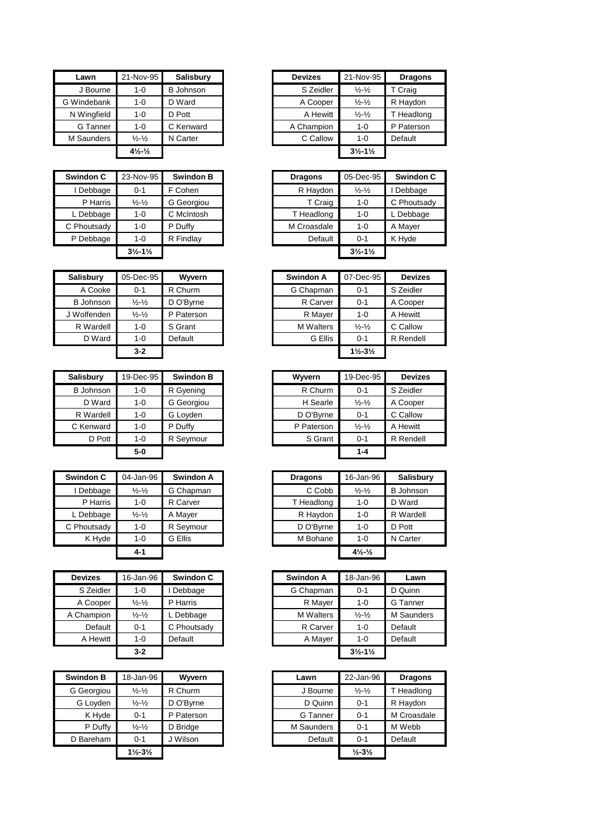| Lawn                  | 21-Nov-95                            | Salisbury                   | <b>Devizes</b>        | 21-Nov-95                      | <b>Dragons</b>     |
|-----------------------|--------------------------------------|-----------------------------|-----------------------|--------------------------------|--------------------|
| J Bourne              | $1 - 0$                              | <b>B</b> Johnson            | S Zeidler             | $\frac{1}{2} - \frac{1}{2}$    | T Craig            |
| G Windebank           | $1 - 0$                              | D Ward                      | A Cooper              | $\frac{1}{2} - \frac{1}{2}$    | R Haydon           |
| N Wingfield           | $1 - 0$                              | D Pott                      | A Hewitt              | $\frac{1}{2} - \frac{1}{2}$    | T Headlong         |
| G Tanner              | $1 - 0$                              | C Kenward                   | A Champion            | $1 - 0$                        | P Paterson         |
| M Saunders            | $\frac{1}{2} - \frac{1}{2}$          | N Carter                    | C Callow              | $1 - 0$                        | Default            |
|                       | $4\frac{1}{2}$ - $\frac{1}{2}$       |                             |                       | $3\frac{1}{2} - 1\frac{1}{2}$  |                    |
|                       |                                      |                             |                       |                                |                    |
| Swindon C             | 23-Nov-95                            | <b>Swindon B</b>            | <b>Dragons</b>        | 05-Dec-95                      | Swindon C          |
| I Debbage             | $0 - 1$                              | F Cohen                     | R Haydon              | $\frac{1}{2} - \frac{1}{2}$    | I Debbage          |
| P Harris              | $\frac{1}{2} - \frac{1}{2}$          | G Georgiou                  | T Craig               | $1 - 0$                        | C Phoutsady        |
| L Debbage             | $1 - 0$                              | C McIntosh                  | T Headlong            | $1 - 0$                        | L Debbage          |
| C Phoutsady           | $1 - 0$                              | P Duffy                     | M Croasdale           | $1 - 0$                        | A Mayer            |
| P Debbage             | $1-0$                                | R Findlay                   | Default               | $0 - 1$                        | K Hyde             |
|                       | $3\frac{1}{2} - 1\frac{1}{2}$        |                             |                       | $3\frac{1}{2} - 1\frac{1}{2}$  |                    |
|                       |                                      |                             |                       |                                |                    |
| <b>Salisbury</b>      | 05-Dec-95                            | Wyvern                      | <b>Swindon A</b>      | 07-Dec-95                      | <b>Devizes</b>     |
| A Cooke               | $0 - 1$                              | R Churm                     | G Chapman             | $0 - 1$                        | S Zeidler          |
| <b>B</b> Johnson      | $\frac{1}{2} - \frac{1}{2}$          | D O'Byrne                   | R Carver              | $0 - 1$                        | A Cooper           |
| J Wolfenden           | $\frac{1}{2} - \frac{1}{2}$          | P Paterson                  | R Mayer               | $1 - 0$                        | A Hewitt           |
| R Wardell             | $1 - 0$                              | S Grant                     | M Walters             | $\frac{1}{2} - \frac{1}{2}$    | C Callow           |
| D Ward                | $1 - 0$                              | Default                     | G Ellis               | $0 - 1$                        | R Rendell          |
|                       | $3 - 2$                              |                             |                       | $1\frac{1}{2} - 3\frac{1}{2}$  |                    |
|                       |                                      |                             |                       |                                |                    |
| <b>Salisbury</b>      | 19-Dec-95                            | <b>Swindon B</b>            | Wyvern                | 19-Dec-95                      | <b>Devizes</b>     |
| <b>B</b> Johnson      | $1 - 0$                              | R Gyening                   | R Churm               | $0 - 1$                        | S Zeidler          |
| D Ward                | $1 - 0$                              | G Georgiou                  | H Searle              | $\frac{1}{2} - \frac{1}{2}$    | A Cooper           |
| R Wardell             | $1 - 0$                              | G Loyden                    | D O'Byrne             | $0 - 1$                        | C Callow           |
| C Kenward             | $1 - 0$                              | P Duffy                     | P Paterson            | $\frac{1}{2} - \frac{1}{2}$    | A Hewitt           |
| D Pott                | $1 - 0$                              | R Seymour                   | S Grant               | 0-1                            | R Rendell          |
|                       | $5-0$                                |                             |                       | $1 - 4$                        |                    |
|                       |                                      |                             |                       |                                |                    |
| Swindon C             | 04-Jan-96                            | <b>Swindon A</b>            | <b>Dragons</b>        | 16-Jan-96                      | <b>Salisbury</b>   |
| I Debbage             | $\frac{1}{2} - \frac{1}{2}$          | G Chapman                   | C Cobb                | $\frac{1}{2} - \frac{1}{2}$    | <b>B</b> Johnson   |
| P Harris              | $1 - 0$                              | R Carver                    | T Headlong            | $1 - 0$                        | D Ward             |
| L Debbage             | $\frac{1}{2} - \frac{1}{2}$<br>$1-0$ | A Mayer                     | R Haydon              | $1 - 0$                        | R Wardell          |
| C Phoutsady<br>K Hyde | $1 - 0$                              | R Seymour<br><b>G</b> Ellis | D O'Byrne<br>M Bohane | $1 - 0$<br>$1 - 0$             | D Pott<br>N Carter |
|                       | 4-1                                  |                             |                       | $4\frac{1}{2}$ - $\frac{1}{2}$ |                    |
|                       |                                      |                             |                       |                                |                    |
| <b>Devizes</b>        | 16-Jan-96                            | Swindon C                   | Swindon A             | 18-Jan-96                      | Lawn               |
| S Zeidler             | $1 - 0$                              |                             |                       | 0-1                            | D Quinn            |
| A Cooper              | $\frac{1}{2} - \frac{1}{2}$          | I Debbage<br>P Harris       | G Chapman<br>R Mayer  | $1 - 0$                        | G Tanner           |
| A Champion            | $\frac{1}{2} - \frac{1}{2}$          | L Debbage                   | M Walters             | $\frac{1}{2} - \frac{1}{2}$    | M Saunders         |
| Default               | 0-1                                  | C Phoutsady                 | R Carver              | 1-0                            | Default            |
| A Hewitt              | $1 - 0$                              | Default                     | A Mayer               | $1 - 0$                        | Default            |
|                       | $3 - 2$                              |                             |                       | $3\frac{1}{2} - 1\frac{1}{2}$  |                    |
|                       |                                      |                             |                       |                                |                    |
| <b>Swindon B</b>      | 18-Jan-96                            | Wyvern                      | Lawn                  | 22-Jan-96                      | <b>Dragons</b>     |
| G Georgiou            | $\frac{1}{2} - \frac{1}{2}$          | R Churm                     | J Bourne              | $\frac{1}{2} - \frac{1}{2}$    | T Headlong         |
| G Loyden              | $\frac{1}{2} - \frac{1}{2}$          | D O'Byrne                   | D Quinn               | $0 - 1$                        | R Haydon           |
|                       |                                      |                             | G Tanner              |                                | M Croasdale        |
|                       | $0 - 1$                              | P Paterson                  |                       | $0 - 1$                        |                    |
| K Hyde<br>P Duffy     | $\frac{1}{2} - \frac{1}{2}$          | D Bridge                    | M Saunders            | 0-1                            | M Webb             |
| D Bareham             | 0-1                                  | J Wilson                    | Default               | 0-1                            | Default            |
|                       | $1\frac{1}{2} - 3\frac{1}{2}$        |                             |                       | $\frac{1}{2} - 3\frac{1}{2}$   |                    |

| <b>Devizes</b> | 21-Nov-95                     | <b>Dragons</b> |
|----------------|-------------------------------|----------------|
| S Zeidler      | $\frac{1}{2}$ - $\frac{1}{2}$ | T Craig        |
| A Cooper       | $\frac{1}{2}$ - $\frac{1}{2}$ | R Haydon       |
| A Hewitt       | $\frac{1}{2}$ - $\frac{1}{2}$ | T Headlong     |
| A Champion     | $1 - 0$                       | P Paterson     |
| C Callow       | $1 - 0$                       | Default        |
|                | $3\frac{1}{2} - 1\frac{1}{2}$ |                |

| <b>Dragons</b> | 05-Dec-95                     | Swindon C   |
|----------------|-------------------------------|-------------|
| R Haydon       | $\frac{1}{2}$ - $\frac{1}{2}$ | I Debbage   |
| T Craig        | $1 - 0$                       | C Phoutsady |
| T Headlong     | $1 - 0$                       | L Debbage   |
| M Croasdale    | $1 - 0$                       | A Mayer     |
| Default        | $0 - 1$                       | K Hyde      |
|                | $3\frac{1}{2} - 1\frac{1}{2}$ |             |

| Swindon A        | 07-Dec-95                     | <b>Devizes</b> |
|------------------|-------------------------------|----------------|
| G Chapman        | $0 - 1$                       | S Zeidler      |
| R Carver         | $0 - 1$                       | A Cooper       |
| R Mayer          | $1 - 0$                       | A Hewitt       |
| <b>M</b> Walters | $\frac{1}{2}$ - $\frac{1}{2}$ | C Callow       |
| G Ellis          | $0 - 1$                       | R Rendell      |
|                  | $1\frac{1}{2} - 3\frac{1}{2}$ |                |

| Wyvern     | 19-Dec-95                     | <b>Devizes</b> |
|------------|-------------------------------|----------------|
| R Churm    | $0 - 1$                       | S Zeidler      |
| H Searle   | $\frac{1}{2}$ - $\frac{1}{2}$ | A Cooper       |
| D O'Byrne  | $0 - 1$                       | C Callow       |
| P Paterson | $\frac{1}{2}$ - $\frac{1}{2}$ | A Hewitt       |
| S Grant    | $0 - 1$                       | R Rendell      |
|            | $1 - 4$                       |                |

| <b>Dragons</b> | 16-Jan-96                      | <b>Salisbury</b> |
|----------------|--------------------------------|------------------|
| C Cobb         | $\frac{1}{2}$ - $\frac{1}{2}$  | <b>B</b> Johnson |
| T Headlong     | $1 - 0$                        | D Ward           |
| R Haydon       | $1 - 0$                        | R Wardell        |
| D O'Byrne      | $1 - 0$                        | D Pott           |
| M Bohane       | $1 - 0$                        | N Carter         |
|                | $4\frac{1}{2}$ - $\frac{1}{2}$ |                  |

| <b>Swindon A</b> | 18-Jan-96                     | Lawn       |
|------------------|-------------------------------|------------|
| G Chapman        | $0 - 1$                       | D Quinn    |
| R Mayer          | $1 - 0$                       | G Tanner   |
| M Walters        | $\frac{1}{2}$ - $\frac{1}{2}$ | M Saunders |
| R Carver         | $1 - 0$                       | Default    |
| A Mayer          | $1 - 0$                       | Default    |
|                  | $3\frac{1}{2} - 1\frac{1}{2}$ |            |

| Lawn       | 22-Jan-96                     | <b>Dragons</b> |
|------------|-------------------------------|----------------|
| J Bourne   | $\frac{1}{2}$ - $\frac{1}{2}$ | T Headlong     |
| D Quinn    | R Haydon<br>$0 - 1$           |                |
| G Tanner   | $0 - 1$                       | M Croasdale    |
| M Saunders | $0 - 1$                       | M Webb         |
| Default    | $0 - 1$                       | Default        |
|            | $\frac{1}{2} - 3\frac{1}{2}$  |                |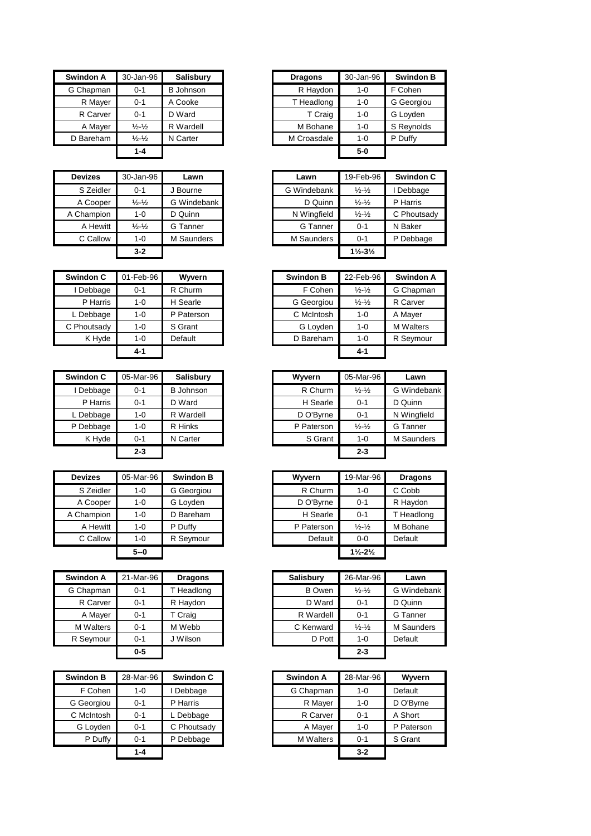| <b>Swindon A</b>         | 30-Jan-96                     | <b>Salisbury</b>      | <b>Dragons</b>      | 30-Jan-96                     | <b>Swindon B</b> |
|--------------------------|-------------------------------|-----------------------|---------------------|-------------------------------|------------------|
| G Chapman                | $0 - 1$                       | <b>B</b> Johnson      | R Haydon            | $1 - 0$                       | F Cohen          |
| R Mayer                  | $0 - 1$                       | A Cooke               | T Headlong          | $1 - 0$                       | G Georgiou       |
| R Carver                 | $0 - 1$                       | D Ward                | T Craig             | $1 - 0$                       | G Loyden         |
| A Mayer                  | $\frac{1}{2} - \frac{1}{2}$   | R Wardell             | M Bohane            | 1-0                           | S Reynolds       |
| D Bareham                | $\frac{1}{2}$ - $\frac{1}{2}$ | N Carter              | M Croasdale         | 1-0                           | P Duffy          |
|                          | $1 - 4$                       |                       |                     | $5-0$                         |                  |
| <b>Devizes</b>           | 30-Jan-96                     | Lawn                  | Lawn                | 19-Feb-96                     | Swindon C        |
| S Zeidler                | $0 - 1$                       | J Bourne              | G Windebank         | $\frac{1}{2}$ - $\frac{1}{2}$ | I Debbage        |
| A Cooper                 | $\frac{1}{2} - \frac{1}{2}$   | G Windebank           | D Quinn             | $\frac{1}{2}$ - $\frac{1}{2}$ | P Harris         |
| A Champion               | $1 - 0$                       | D Quinn               | N Wingfield         | $\frac{1}{2} - \frac{1}{2}$   | C Phoutsady      |
| A Hewitt                 | $\frac{1}{2} - \frac{1}{2}$   | G Tanner              | G Tanner            | $0 - 1$                       | N Baker          |
| C Callow                 | $1 - 0$                       | M Saunders            | M Saunders          | $0 - 1$                       | P Debbage        |
|                          | $3 - 2$                       |                       |                     | $1\frac{1}{2} - 3\frac{1}{2}$ |                  |
|                          |                               |                       |                     |                               |                  |
| Swindon C                | 01-Feb-96                     | Wyvern                | <b>Swindon B</b>    | 22-Feb-96                     | Swindon A        |
| I Debbage                | $0 - 1$                       | R Churm               | F Cohen             | $\frac{1}{2}$ - $\frac{1}{2}$ | G Chapman        |
| P Harris                 | $1 - 0$                       | H Searle              | G Georgiou          | $\frac{1}{2} - \frac{1}{2}$   | R Carver         |
| L Debbage                | $1 - 0$                       | P Paterson            | C McIntosh          | $1 - 0$                       | A Mayer          |
| C Phoutsady              | $1 - 0$                       | S Grant               | G Loyden            | 1-0                           | <b>M</b> Walters |
| K Hyde                   | $1 - 0$                       | Default               | D Bareham           | $1 - 0$                       | R Seymour        |
|                          | 4-1                           |                       |                     | 4-1                           |                  |
| Swindon C                | 05-Mar-96                     | <b>Salisbury</b>      | Wyvern              | 05-Mar-96                     | Lawn             |
| I Debbage                | $0 - 1$                       | <b>B</b> Johnson      | R Churm             | $\frac{1}{2} - \frac{1}{2}$   | G Windebank      |
| P Harris                 | $0 - 1$                       | D Ward                | H Searle            | $0 - 1$                       | D Quinn          |
| L Debbage                | $1 - 0$                       | R Wardell             | D O'Byrne           | $0 - 1$                       | N Wingfield      |
| P Debbage                | $1 - 0$                       | R Hinks               | P Paterson          | $\frac{1}{2}$ - $\frac{1}{2}$ | G Tanner         |
| K Hyde                   | $0 - 1$                       | N Carter              | S Grant             | $1 - 0$                       | M Saunders       |
|                          | $2 - 3$                       |                       |                     | 2-3                           |                  |
|                          |                               |                       |                     |                               |                  |
| <b>Devizes</b>           | 05-Mar-96                     | <b>Swindon B</b>      | Wyvern              | 19-Mar-96                     | <b>Dragons</b>   |
| S Zeidler                | 1-0                           | G Georgiou            | R Churm             | 1-0                           | C Cobb           |
| A Cooper                 | $1 - 0$                       | G Loyden              | D O'Byrne           | $0 - 1$                       | R Haydon         |
| A Champion               | $1 - 0$                       | D Bareham             | H Searle            | $0 - 1$                       | T Headlong       |
| A Hewitt                 | $1 - 0$                       | P Duffy               | P Paterson          | $\frac{1}{2}$ - $\frac{1}{2}$ | M Bohane         |
| C Callow                 | 1-0                           | R Seymour             | Default             | 0-0                           | Default          |
|                          | 5--0                          |                       |                     | $1\frac{1}{2} - 2\frac{1}{2}$ |                  |
| Swindon A                | 21-Mar-96                     | <b>Dragons</b>        | <b>Salisbury</b>    | 26-Mar-96                     | Lawn             |
| G Chapman                | 0-1                           | T Headlong            | <b>B</b> Owen       | $\frac{1}{2} - \frac{1}{2}$   | G Windebank      |
| R Carver                 | 0-1                           | R Haydon              | D Ward              | $0 - 1$                       | D Quinn          |
| A Mayer                  | 0-1                           | T Craig               | R Wardell           | $0 - 1$                       | G Tanner         |
| M Walters                | 0-1                           | M Webb                | C Kenward           | $\frac{1}{2} - \frac{1}{2}$   | M Saunders       |
| R Seymour                | 0-1                           | J Wilson              | D Pott              | $1 - 0$                       | Default          |
|                          | $0-5$                         |                       |                     | $2 - 3$                       |                  |
|                          |                               |                       |                     |                               |                  |
| <b>Swindon B</b>         | 28-Mar-96                     | Swindon C             | Swindon A           | 28-Mar-96                     | Wyvern           |
| F Cohen                  | 1-0                           | I Debbage             | G Chapman           | 1-0                           | Default          |
|                          |                               |                       |                     |                               |                  |
| G Georgiou<br>C McIntosh | 0-1<br>$0 - 1$                | P Harris<br>L Debbage | R Mayer<br>R Carver | 1-0                           | D O'Byrne        |

G Loyden 0-1 C Phoutsady P Duffy 0-1 P Debbage

| <b>Dragons</b> | 30-Jan-96 | <b>Swindon B</b> |
|----------------|-----------|------------------|
| R Haydon       | $1 - 0$   | F Cohen          |
| T Headlong     | $1 - 0$   | G Georgiou       |
| T Craig        | $1 - 0$   | G Loyden         |
| M Bohane       | $1 - 0$   | S Reynolds       |
| M Croasdale    | $1 - 0$   | P Duffy          |
|                | 5-0       |                  |

| Lawn        | 19-Feb-96                     | Swindon C   |
|-------------|-------------------------------|-------------|
| G Windebank | $\frac{1}{2}$ - $\frac{1}{2}$ | I Debbage   |
| D Quinn     | $\frac{1}{2}$ - $\frac{1}{2}$ | P Harris    |
| N Wingfield | $\frac{1}{2}$ - $\frac{1}{2}$ | C Phoutsady |
| G Tanner    | $0 - 1$                       | N Baker     |
| M Saunders  | $0 - 1$                       | P Debbage   |
|             | $1\frac{1}{2} - 3\frac{1}{2}$ |             |

| <b>Swindon B</b> | 22-Feb-96                     | <b>Swindon A</b> |
|------------------|-------------------------------|------------------|
| F Cohen          | $\frac{1}{2}$ - $\frac{1}{2}$ | G Chapman        |
| G Georgiou       | $\frac{1}{2}$ - $\frac{1}{2}$ | R Carver         |
| C McIntosh       | $1 - 0$                       | A Mayer          |
| G Loyden         | $1 - 0$                       | <b>M</b> Walters |
| D Bareham        | $1 - 0$                       | R Seymour        |
|                  | 4-1                           |                  |

| Wyvern     | 05-Mar-96                     | Lawn        |
|------------|-------------------------------|-------------|
| R Churm    | $\frac{1}{2}$ - $\frac{1}{2}$ | G Windebank |
| H Searle   | $0 - 1$                       | D Quinn     |
| D O'Byrne  | $0 - 1$                       | N Wingfield |
| P Paterson | $\frac{1}{2}$ - $\frac{1}{2}$ | G Tanner    |
| S Grant    | $1 - 0$                       | M Saunders  |
|            | $2 - 3$                       |             |

| Wyvern     | 19-Mar-96                     | <b>Dragons</b> |
|------------|-------------------------------|----------------|
| R Churm    | $1 - 0$                       | C Cobb         |
| D O'Byrne  | $0 - 1$                       | R Haydon       |
| H Searle   | $0 - 1$                       | T Headlong     |
| P Paterson | $\frac{1}{2}$ - $\frac{1}{2}$ | M Bohane       |
| Default    | 0-0                           | Default        |
|            | $1\frac{1}{2} - 2\frac{1}{2}$ |                |

| <b>Salisbury</b> | 26-Mar-96                     | Lawn        |
|------------------|-------------------------------|-------------|
| <b>B</b> Owen    | $\frac{1}{2}$ - $\frac{1}{2}$ | G Windebank |
| D Ward           | $0 - 1$                       | D Quinn     |
| R Wardell        | $0 - 1$                       | G Tanner    |
| C Kenward        | $\frac{1}{2}$ - $\frac{1}{2}$ | M Saunders  |
| D Pott           | $1 - 0$                       | Default     |
|                  | $2 - 3$                       |             |

| Mar-96  | Swindon C   | <b>Swindon A</b> | 28-Mar-96 | Wyvern     |
|---------|-------------|------------------|-----------|------------|
| $1 - 0$ | Debbage     | G Chapman        | $1 - 0$   | Default    |
| $0 - 1$ | P Harris    | R Mayer          | $1 - 0$   | D O'Byrne  |
| $0 - 1$ | L Debbage   | R Carver         | $0 - 1$   | A Short    |
| $0 - 1$ | C Phoutsady | A Mayer          | $1 - 0$   | P Paterson |
| $0 - 1$ | P Debbage   | <b>M</b> Walters | $0 - 1$   | S Grant    |
| $1 - 4$ |             |                  | $3 - 2$   |            |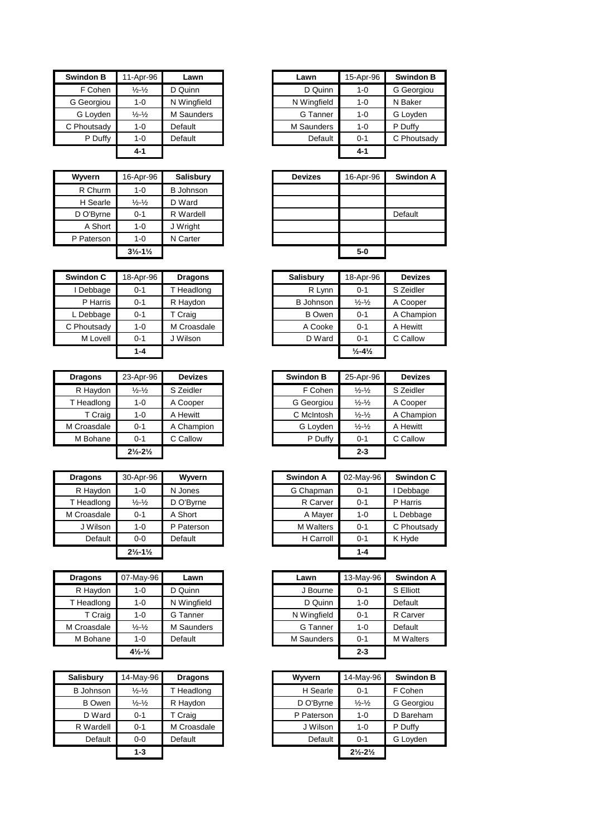| <b>Swindon B</b> | 11-Apr-96                     | Lawn             | Lawn             | 15-Apr-96                   | <b>Swindo</b> |
|------------------|-------------------------------|------------------|------------------|-----------------------------|---------------|
| F Cohen          | $\frac{1}{2} - \frac{1}{2}$   | D Quinn          | D Quinn          | $1 - 0$                     | G Georg       |
| G Georgiou       | $1 - 0$                       | N Wingfield      | N Wingfield      | $1 - 0$                     | N Baker       |
| G Loyden         | $\frac{1}{2} - \frac{1}{2}$   | M Saunders       | G Tanner         | $1 - 0$                     | G Loyde       |
| C Phoutsady      | $1 - 0$                       | Default          | M Saunders       | $1 - 0$                     | P Duffy       |
| P Duffy          | $1 - 0$                       | Default          | Default          | $0 - 1$                     | C Phout       |
|                  | $4 - 1$                       |                  |                  | $4 - 1$                     |               |
|                  |                               |                  |                  |                             |               |
| Wyvern           | 16-Apr-96                     | <b>Salisbury</b> | <b>Devizes</b>   | 16-Apr-96                   | <b>Swindo</b> |
| R Churm          | $1 - 0$                       | <b>B</b> Johnson |                  |                             |               |
| H Searle         | $\frac{1}{2} - \frac{1}{2}$   | D Ward           |                  |                             |               |
| D O'Byrne        | $0 - 1$                       | R Wardell        |                  |                             | Default       |
| A Short          | $1 - 0$                       | J Wright         |                  |                             |               |
| P Paterson       | $1 - 0$                       | N Carter         |                  |                             |               |
|                  | $3\frac{1}{2} - 1\frac{1}{2}$ |                  |                  | $5-0$                       |               |
|                  |                               |                  |                  |                             |               |
| Swindon C        | 18-Apr-96                     | <b>Dragons</b>   | <b>Salisbury</b> | 18-Apr-96                   | <b>Deviz</b>  |
| I Debbage        | $0 - 1$                       | T Headlong       | R Lynn           | $0 - 1$                     | S Zeidle      |
| P Harris         | $0 - 1$                       | R Haydon         | <b>B</b> Johnson | $\frac{1}{2} - \frac{1}{2}$ | A Coope       |
| L Debbage        | $0 - 1$                       | T Craig          | <b>B</b> Owen    | $0 - 1$                     | A Cham        |
| C Phoutsady      | $1 - 0$                       | M Croasdale      | A Cooke          | $0 - 1$                     | A Hewitt      |
| M Lovell         | $0 - 1$                       | J Wilson         | D Ward           | $0 - 1$                     | C Calloy      |

| <b>Dragons</b> | 23-Apr-96                     | <b>Devizes</b> | <b>Swindon B</b> |         | 25-Apr-96                   |  |
|----------------|-------------------------------|----------------|------------------|---------|-----------------------------|--|
| R Haydon       | $\frac{1}{2} - \frac{1}{2}$   | S Zeidler      | F Cohen          |         | $\frac{1}{2} - \frac{1}{2}$ |  |
| T Headlong     | 1-0                           | A Cooper       | G Georgiou       |         | $\frac{1}{2} - \frac{1}{2}$ |  |
| T Craig        | 1-0                           | A Hewitt       | C McIntosh       |         | $\frac{1}{2} - \frac{1}{2}$ |  |
| M Croasdale    | $0 - 1$                       | A Champion     | G Loyden         |         | $\frac{1}{2} - \frac{1}{2}$ |  |
| M Bohane       | $0 - 1$                       | C Callow       |                  | P Duffy | $0 - 1$                     |  |
|                | $2\frac{1}{2} - 2\frac{1}{2}$ |                |                  |         | $2 - 3$                     |  |

| <b>Dragons</b> | 30-Apr-96                     | Wyvern     |
|----------------|-------------------------------|------------|
| R Haydon       | 1-0                           | N Jones    |
| T Headlong     | $\frac{1}{2}$ - $\frac{1}{2}$ | D O'Byrne  |
| M Croasdale    | $0 - 1$                       | A Short    |
| J Wilson       | $1 - 0$                       | P Paterson |
| Default        | $0-0$                         | Default    |
|                | $2\frac{1}{2} - 1\frac{1}{2}$ |            |

| <b>Dragons</b> | 07-May-96                      | Lawn        |  | Lawn        | 13-May-96 | Swind    |
|----------------|--------------------------------|-------------|--|-------------|-----------|----------|
| R Haydon       | $1 - 0$                        | D Quinn     |  | J Bourne    | $0 - 1$   | S Elliot |
| T Headlong     | $1 - 0$                        | N Wingfield |  | D Quinn     | 1-0       | Default  |
| T Craig        | 1-0                            | G Tanner    |  | N Wingfield | $0 - 1$   | R Carv   |
| M Croasdale    | $\frac{1}{2} - \frac{1}{2}$    | M Saunders  |  | G Tanner    | 1-0       | Default  |
| M Bohane       | $1 - 0$                        | Default     |  | M Saunders  | $0 - 1$   | M Walt   |
|                | $4\frac{1}{2}$ - $\frac{1}{2}$ |             |  |             | $2 - 3$   |          |

| <b>Salisbury</b> | 14-May-96                     | <b>Dragons</b> |
|------------------|-------------------------------|----------------|
| <b>B</b> Johnson | $\frac{1}{2}$ - $\frac{1}{2}$ | T Headlong     |
| <b>B</b> Owen    | $\frac{1}{2}$ - $\frac{1}{2}$ | R Haydon       |
| D Ward           | $0 - 1$                       | T Craig        |
| R Wardell        | $0 - 1$                       | M Croasdale    |
| Default          | $0 - 0$                       | Default        |
|                  | $1 - 3$                       |                |

| Swindon B   | 11-Apr-96                   | Lawn        | Lawn        | 15-Apr-96 | <b>Swindon B</b> |
|-------------|-----------------------------|-------------|-------------|-----------|------------------|
| F Cohen     | $\frac{1}{2} - \frac{1}{2}$ | D Quinn     | D Quinn     | 1-0       | G Georgiou       |
| G Georgiou  | 1-0                         | N Wingfield | N Wingfield | 1-0       | N Baker          |
| G Loyden    | $\frac{1}{2} - \frac{1}{2}$ | M Saunders  | G Tanner    | 1-0       | G Loyden         |
| C Phoutsady | $1 - 0$                     | Default     | M Saunders  | 1-0       | P Duffy          |
| P Duffy     | $1 - 0$                     | Default     | Default     | $0 - 1$   | C Phoutsady      |
|             | $4 - 1$                     |             |             | $4 - 1$   |                  |
|             |                             |             |             |           |                  |

| 16-Apr-96                     | <b>Salisbury</b> |
|-------------------------------|------------------|
| $1 - 0$                       | <b>B</b> Johnson |
| $\frac{1}{2} - \frac{1}{2}$   | D Ward           |
| $0 - 1$                       | R Wardell        |
| 1-0                           | J Wright         |
| $1 - 0$                       | N Carter         |
| $3\frac{1}{2} - 1\frac{1}{2}$ |                  |
|                               |                  |

| Swindon C   | 18-Apr-96 | <b>Dragons</b> | <b>Salisbury</b> | 18-Apr-96                    | <b>Devizes</b> |
|-------------|-----------|----------------|------------------|------------------------------|----------------|
| I Debbage   | $0 - 1$   | T Headlong     | R Lynn           | $0 - 1$                      | S Zeidler      |
| P Harris    | $0 - 1$   | R Haydon       | <b>B</b> Johnson | $\frac{1}{2} - \frac{1}{2}$  | A Cooper       |
| L Debbage   | $0 - 1$   | T Craig        | <b>B</b> Owen    | $0 - 1$                      | A Champion     |
| C Phoutsady | $1 - 0$   | M Croasdale    | A Cooke          | $0 - 1$                      | A Hewitt       |
| M Lovell    | $0 - 1$   | J Wilson       | D Ward           | $0 - 1$                      | C Callow       |
|             | $1 - 4$   |                |                  | $\frac{1}{2} - 4\frac{1}{2}$ |                |

| <b>Dragons</b> | 23-Apr-96                     | <b>Devizes</b> | <b>Swindon B</b> | 25-Apr-96                   | <b>Devizes</b> |
|----------------|-------------------------------|----------------|------------------|-----------------------------|----------------|
| R Haydon       | $\frac{1}{2}$ - $\frac{1}{2}$ | S Zeidler      | F Cohen          | $\frac{1}{2} - \frac{1}{2}$ | S Zeidler      |
| T Headlong     | $1 - 0$                       | A Cooper       | G Georgiou       | $\frac{1}{2} - \frac{1}{2}$ | A Cooper       |
| T Craig        | $1 - 0$                       | A Hewitt       | C McIntosh       | $\frac{1}{2} - \frac{1}{2}$ | A Champion     |
| M Croasdale    | $0 - 1$                       | A Champion     | G Loyden         | $\frac{1}{2} - \frac{1}{2}$ | A Hewitt       |
| M Bohane       | $0 - 1$                       | C Callow       | P Duffy          | $0 - 1$                     | C Callow       |
|                | $2\frac{1}{2} - 2\frac{1}{2}$ |                |                  | $2 - 3$                     |                |

| <b>Dragons</b> | 30-Apr-96                     | Wyvern     | Swindon A        | 02-May-96 | Swindon C   |
|----------------|-------------------------------|------------|------------------|-----------|-------------|
| R Haydon       | $1 - 0$                       | N Jones    | G Chapman        | $0 - 1$   | I Debbage   |
| T Headlong     | $\frac{1}{2} - \frac{1}{2}$   | D O'Byrne  | R Carver         | $0 - 1$   | P Harris    |
| M Croasdale    | $0 - 1$                       | A Short    | A Mayer          | 1-0       | ∟ Debbage   |
| J Wilson       | $1 - 0$                       | P Paterson | <b>M</b> Walters | $0 - 1$   | C Phoutsady |
| Default        | $0-0$                         | Default    | H Carroll        | $0 - 1$   | K Hyde      |
|                | $2\frac{1}{2} - 1\frac{1}{2}$ |            |                  | $1 - 4$   |             |

| <b>Dragons</b> | 07-May-96                      | Lawn        | Lawn        | 13-May-96 | Swindon A        |
|----------------|--------------------------------|-------------|-------------|-----------|------------------|
| R Haydon       | $1 - 0$                        | D Quinn     | J Bourne    | $0 - 1$   | S Elliott        |
| T Headlong     | 1-0                            | N Wingfield | D Quinn     | $1 - 0$   | Default          |
| T Craig        | $1 - 0$                        | G Tanner    | N Wingfield | $0 - 1$   | R Carver         |
| 1 Croasdale    | $\frac{1}{2} - \frac{1}{2}$    | M Saunders  | G Tanner    | $1 - 0$   | Default          |
| M Bohane       | $1 - 0$                        | Default     | M Saunders  | $0 - 1$   | <b>M</b> Walters |
|                | $4\frac{1}{2}$ - $\frac{1}{2}$ |             |             | $2 - 3$   |                  |

| Salisbury        | 14-May-96                     | <b>Dragons</b> | Wyvern     | 14-May-96                     | <b>Swindon B</b> |
|------------------|-------------------------------|----------------|------------|-------------------------------|------------------|
| <b>B</b> Johnson | $\frac{1}{2}$ - $\frac{1}{2}$ | T Headlong     | H Searle   | $0 - 1$                       | F Cohen          |
| <b>B</b> Owen    | $\frac{1}{2} - \frac{1}{2}$   | R Haydon       | D O'Byrne  | $\frac{1}{2} - \frac{1}{2}$   | G Georgiou       |
| D Ward           | $0 - 1$                       | T Craig        | P Paterson | $1 - 0$                       | D Bareham        |
| R Wardell        | $0 - 1$                       | M Croasdale    | J Wilson   | $1 - 0$                       | P Duffy          |
| Default          | $0-0$                         | Default        | Default    | $0 - 1$                       | G Loyden         |
|                  | $1 - 3$                       |                |            | $2\frac{1}{2} - 2\frac{1}{2}$ |                  |